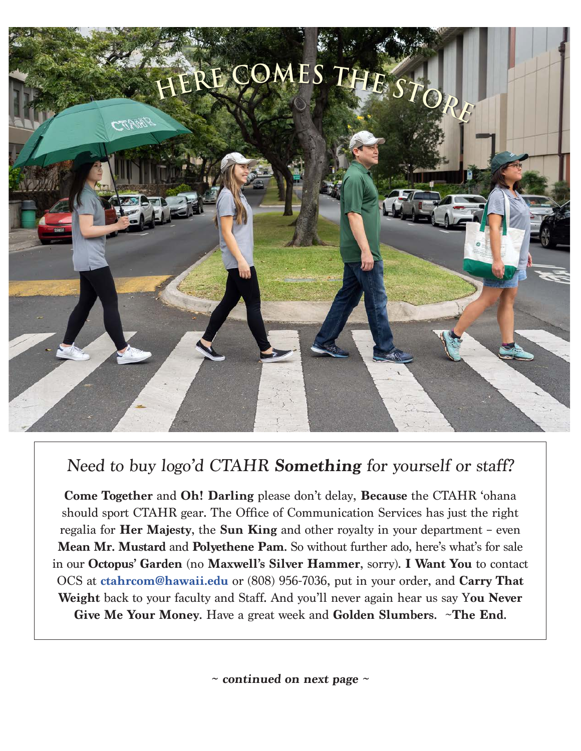

## Need to buy logo'd CTAHR **Something** for yourself or staff?

**Come Together** and **Oh! Darling** please don't delay, **Because** the CTAHR 'ohana should sport CTAHR gear. The Office of Communication Services has just the right regalia for **Her Majesty**, the **Sun King** and other royalty in your department – even **Mean Mr. Mustard** and **Polyethene Pam**. So without further ado, here's what's for sale in our **Octopus' Garden** (no **Maxwell's Silver Hammer**, sorry). **I Want You** to contact OCS at **[ctahrcom@hawaii.edu](mailto:ctahrcom%40hawaii.edu?subject=)** or (808) 956-7036, put in your order, and **Carry That Weight** back to your faculty and Staff. And you'll never again hear us say Y**ou Never Give Me Your Money**. Have a great week and **Golden Slumbers**. ~**The End**.

**~ continued on next page ~**